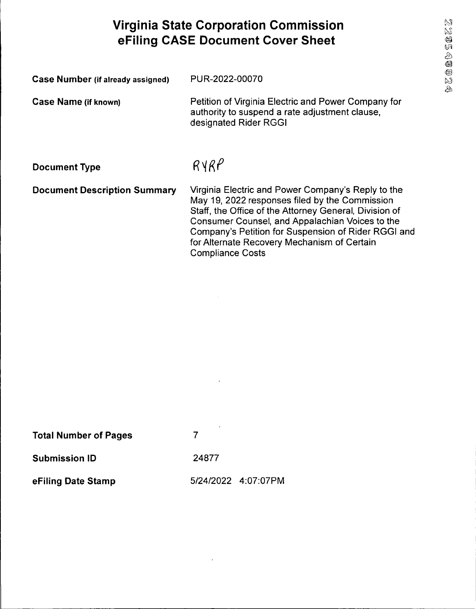# **Virginia State Corporation Commission eFiling CASE Document Cover Sheet**

| Case Number (if already assigned)   | PUR-2022-00070                                                                                                                                                                                                                                                                                                                                     |
|-------------------------------------|----------------------------------------------------------------------------------------------------------------------------------------------------------------------------------------------------------------------------------------------------------------------------------------------------------------------------------------------------|
| <b>Case Name (if known)</b>         | Petition of Virginia Electric and Power Company for<br>authority to suspend a rate adjustment clause,<br>designated Rider RGGI                                                                                                                                                                                                                     |
| <b>Document Type</b>                | RYRP                                                                                                                                                                                                                                                                                                                                               |
| <b>Document Description Summary</b> | Virginia Electric and Power Company's Reply to the<br>May 19, 2022 responses filed by the Commission<br>Staff, the Office of the Attorney General, Division of<br>Consumer Counsel, and Appalachian Voices to the<br>Company's Petition for Suspension of Rider RGGI and<br>for Alternate Recovery Mechanism of Certain<br><b>Compliance Costs</b> |

| <b>Total Number of Pages</b> | ×                   |
|------------------------------|---------------------|
| <b>Submission ID</b>         | 24877               |
| eFiling Date Stamp           | 5/24/2022 4:07:07PM |

 $\ddot{\phantom{a}}$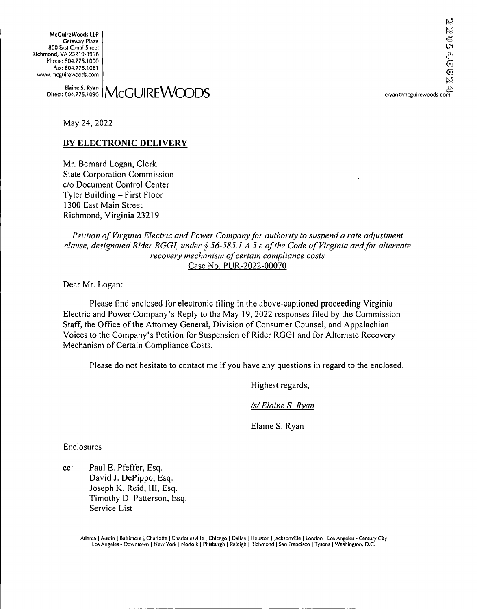**McGuireWoods LLP** Gateway Plaza 800 East Canal Street Richmond, VA 23219-3916 Phone: 804.775.1000 Fax: 804.775.1061 www.mcguirewoods.com

22  $\circledcirc$ ŲЯ e<br>@ ℗ گیرا<br>دیگر<br>eryan@mcguirewoods.com

#### Elaine S. Ryan | MCGUIREWOODS | Elaine S. Ryan @mcguirewoods.com<br>804.775.1090 | MCGUIREWOODS Direct: 804.775.1090

May 24, 2022

### **BY ELECTRONIC DELIVERY**

Mr. Bernard Logan, Clerk State Corporation Commission c/o Document Control Center Tyler Building - First Floor 1300 East Main Street Richmond, Virginia 23219

*Petition of Virginia Electric and Power Companyfor authority to suspend a rate adjustment clause, designated Rider RGGI, under § 56-585.1 A 5 <sup>e</sup> ofthe Code ofVirginia andfor alternate recovery mechanism ofcertain compliance costs* Case No. PUR-2022-00070

Dear Mr. Logan:

Please find enclosed for electronic filing in the above-captioned proceeding Virginia Electric and Power Company's Reply to the May 19, 2022 responses filed by the Commission Staff, the Office of the Attorney General, Division of Consumer Counsel, and Appalachian Voices to the Company's Petition for Suspension of Rider RGGI and for Alternate Recovery Mechanism of Certain Compliance Costs.

Please do not hesitate to contact me if you have any questions in regard to the enclosed.

Highest regards.

*/s/Elaine S. Ryan*

Elaine S. Ryan

Enclosures

cc: Paul E. Pfeffer, Esq. David J. DePippo, Esq. Joseph K. Reid, 111, Esq. Timothy D. Patterson, Esq. Service List

> Atlanta | Austin | Baltimore | Charlotte <sup>|</sup> Charlottesville | Chicago <sup>|</sup> Dallas | Houston | Jacksonville <sup>|</sup> London <sup>|</sup> Los Angeles - Century City Los Angeles - Downtown | New York | Norfolk | Pittsburgh | Raleigh | Richmond | San Francisco | Tysons | Washington, D.C.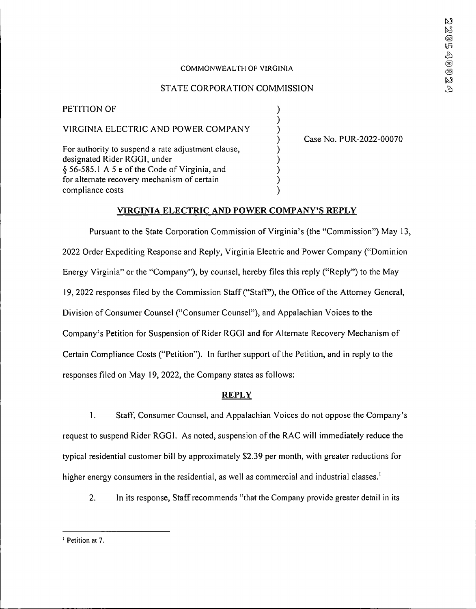#### COMMONWEALTH OF VIRGINIA

### STATE CORPORATION COMMISSION

) ) ) ) ) ) ) ) )

PETITION OF VIRGINIA ELECTRIC AND POWER COMPANY For authority to suspend a rate adjustment clause, designated Rider RGGI, under § 56-585.1 A 5 e of the Code of Virginia, and for alternate recovery mechanism of certain compliance costs

Case No. PUR-2022-00070

#### **VIRGINIA ELECTRIC AND POWER COMPANY'S REPLY**

Pursuant to the State Corporation Commission of Virginia's (the "Commission") May 13, 2022 Order Expediting Response and Reply, Virginia Electric and Power Company ("Dominion Energy Virginia" or the "Company"), by counsel, hereby files this reply ("Reply") to the May 19, 2022 responses filed by the Commission Staff ("Staff"), the Office of the Attorney General, Division of Consumer Counsel ("Consumer Counsel"), and Appalachian Voices to the Company's Petition for Suspension of Rider RGG1 and for Alternate Recovery Mechanism of Certain Compliance Costs ("Petition"). In further support of the Petition, and in reply to the responses filed on May 19, 2022, the Company states as follows:

#### **REPLY**

1. Staff, Consumer Counsel, and Appalachian Voices do not oppose the Company's request to suspend Rider RGG1. As noted, suspension ofthe RAC will immediately reduce the typical residential customer bill by approximately \$2.39 per month, with greater reductions for higher energy consumers in the residential, as well as commercial and industrial classes.<sup>1</sup>

2. In its response, Staff recommends "that the Company provide greater detail in its

<sup>&</sup>lt;sup>1</sup> Petition at 7.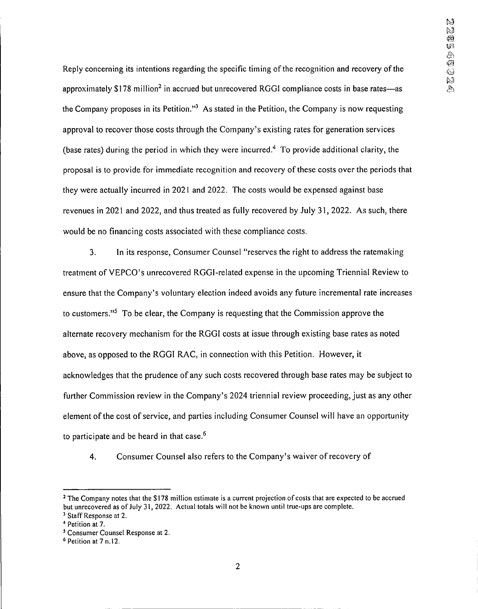Reply concerning its intentions regarding the specific timing of the recognition and recovery of the approximately  $$178$  million<sup>2</sup> in accrued but unrecovered RGGI compliance costs in base rates—as the Company proposes in its Petition."<sup>3</sup> As stated in the Petition, the Company is now requesting approval to recover those costs through the Company's existing rates for generation services (base rates) during the period in which they were incurred.<sup>4</sup> To provide additional clarity, the proposal is to provide for immediate recognition and recovery of these costs over the periods that they were actually incurred in 2021 and 2022. The costs would be expensed against base revenues in 2021 and 2022, and thus treated as fully recovered by July 31,2022. As such, there would be no financing costs associated with these compliance costs.

3. In its response, Consumer Counsel "reserves the right to address the ratemaking treatment of VEPCO's unrecovered RGGl-related expense in the upcoming Triennial Review to ensure that the Company's voluntary election indeed avoids any future incremental rate increases to customers."<sup>5</sup> To be clear, the Company is requesting that the Commission approve the alternate recovery mechanism for the RGGI costs at issue through existing base rates as noted above, as opposed to the RGGI RAC, in connection with this Petition. However, it acknowledges that the prudence of any such costs recovered through base rates may be subject to further Commission review in the Company's 2024 triennial review proceeding, just as any other element of the cost of service, and parties including Consumer Counsel will have an opportunity to participate and be heard in that case.<sup>6</sup>

4. Consumer Counsel also refers to the Company's waiver of recovery of

<sup>&</sup>lt;sup>2</sup> The Company notes that the \$178 million estimate is a current projection of costs that are expected to be accrued but unrecovered as of July 31, 2022. Actual totals will not be known until true-ups are complete.

<sup>&</sup>lt;sup>3</sup> Staff Response at 2.

Petition at 7.

<sup>5</sup> Consumer Counsel Response at 2.

<sup>6</sup> Petition at 7 n.12.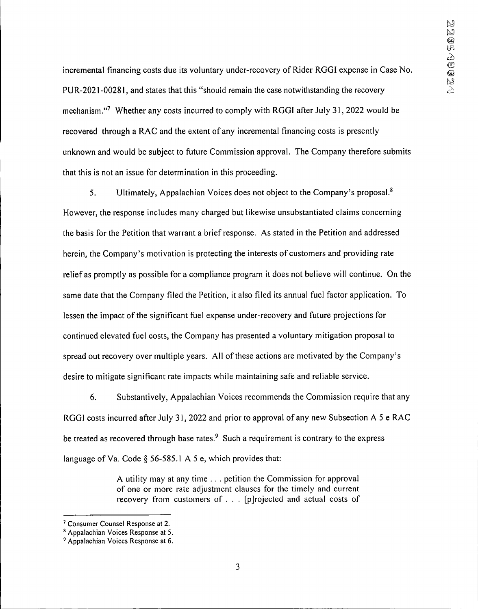incremental financing costs due its voluntary under-recovery of Rider RGGI expense in Case No. PLTR-2021-00281, and states that this "should remain the case notwithstanding the recovery mechanism."<sup>7</sup> Whether any costs incurred to comply with RGGI after July 31, 2022 would be recovered through a RAC and the extent of any incremental financing costs is presently unknown and would be subject to future Commission approval. The Company therefore submits that this is not an issue for determination in this proceeding.

5. Ultimately, Appalachian Voices does not object to the Company's proposal.<sup>8</sup> However, the response includes many charged but likewise unsubstantiated claims concerning the basis for the Petition that warrant a brief response. As stated in the Petition and addressed herein, the Company's motivation is protecting the interests of customers and providing rate relief as promptly as possible for a compliance program it does not believe will continue. On the same date that the Company filed the Petition, it also filed its annual fuel factor application. To lessen the impact of the significant fuel expense under-recovery and future projections for continued elevated fuel costs, the Company has presented a voluntary mitigation proposal to spread out recovery over multiple years. All of these actions are motivated by the Company's desire to mitigate significant rate impacts while maintaining safe and reliable service.

6. Substantively, Appalachian Voices recommends the Commission require that any RGGI costs incurred after July 31, 2022 and prior to approval of any new Subsection A 5 e RAC be treated as recovered through base rates. $9$  Such a requirement is contrary to the express language of Va. Code § 56-585.1 A 5 e, which provides that:

> A utility may at any time . . . petition the Commission for approval of one or more rate adjustment clauses for the timely and current recovery from customers of . . . [p] rojected and actual costs of

<sup>7</sup> Consumer Counsel Response at 2.

<sup>8</sup> Appalachian Voices Response at 5.

<sup>9</sup> Appalachian Voices Response at 6.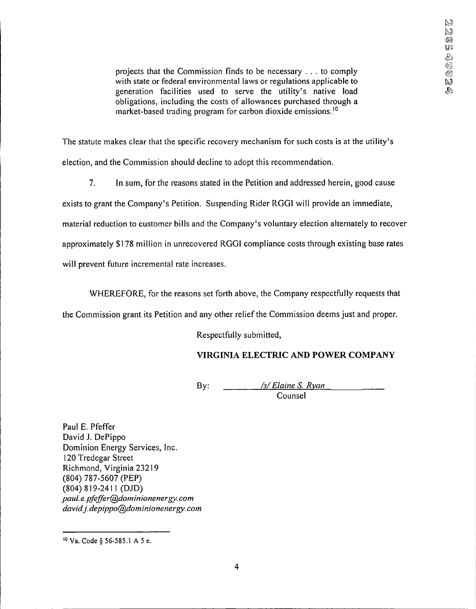projects that the Commission finds to be necessary ... to comply with state or federal environmental laws or regulations applicable to generation facilities used to serve the utility's native load obligations, including the costs of allowances purchased through a market-based trading program for carbon dioxide emissions.<sup>10</sup>

The statute makes clear that the specific recovery mechanism for such costs is at the utility's election, and the Commission should decline to adopt this recommendation.

7. In sum, for the reasons stated in the Petition and addressed herein, good cause

exists to grant the Company's Petition. Suspending Rider RGGI will provide an immediate,

material reduction to customer bills and the Company's voluntary election alternately to recover

approximately \$178 million in unrecovered RGGL compliance costs through existing base rates

will prevent future incremental rate increases.

WHEREFORE, for the reasons set forth above, the Company respectfully requests that

the Commission grant its Petition and any other relief the Commission deems just and proper.

Respectfully submitted,

## **VIRGINIA ELECTRIC AND POWER COMPANY**

By: */\$/ Elaine S. Ryan* Counsel

Paul E. Pfeffer David J. DePippo Dominion Energy Services, Inc. 120 Tredegar Street Richmond, Virginia 23219 (804) 787-5607 (PEP) (804)819-2411 (DJD) *paul. e.pfeffer@dommionenergy.com david.j. depippo@dominionenergy. com*

<sup>10</sup> Va. Code § 56-585.1 A 5 e.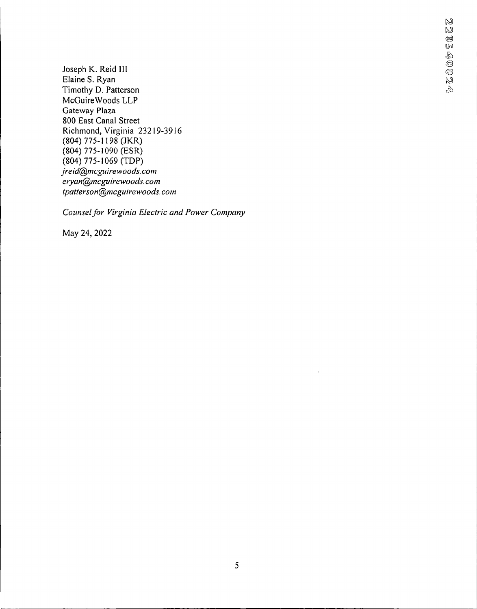Joseph K. Reid III Elaine S. Ryan Timothy D. Patterson McGuireWoods LLP Gateway Plaza 800 East Canal Street Richmond, Virginia 23219-3916 (804) 775-1198 (JKR) (804) 775-1090 (ESR) (804) 775-1069 (TDP) *jreid@mcguirewoods. com eryan@mcguirewoods.com tpatterson@mcguirewoods.com*

*Counselfor Virginia Electric and Power Company*

May 24, 2022